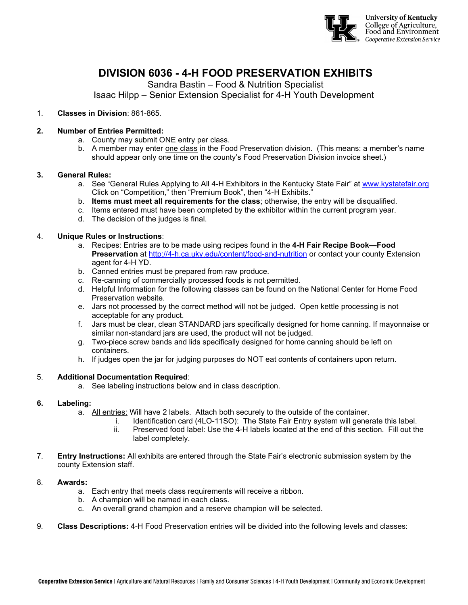

# **DIVISION 6036 - 4-H FOOD PRESERVATION EXHIBITS**

Sandra Bastin – Food & Nutrition Specialist

Isaac Hilpp – Senior Extension Specialist for 4-H Youth Development

1. **Classes in Division**: 861-865.

### **2. Number of Entries Permitted:**

- a. County may submit ONE entry per class.
- b. A member may enter one class in the Food Preservation division. (This means: a member's name should appear only one time on the county's Food Preservation Division invoice sheet.)

#### **3. General Rules:**

- a. See "General Rules Applying to All 4-H Exhibitors in the Kentucky State Fair" at [www.kystatefair.org](http://www.kystatefair.org/)  Click on "Competition," then "Premium Book", then "4-H Exhibits."
- b. **Items must meet all requirements for the class**; otherwise, the entry will be disqualified.
- c. Items entered must have been completed by the exhibitor within the current program year.
- d. The decision of the judges is final.

### 4. **Unique Rules or Instructions**:

- a. Recipes: Entries are to be made using recipes found in the **4-H Fair Recipe Book—Food Preservation** at <http://4-h.ca.uky.edu/content/food-and-nutrition> or contact your county Extension agent for 4-H YD.
- b. Canned entries must be prepared from raw produce.
- c. Re-canning of commercially processed foods is not permitted.
- d. Helpful Information for the following classes can be found on the National Center for Home Food Preservation website.
- e. Jars not processed by the correct method will not be judged. Open kettle processing is not acceptable for any product.
- f. Jars must be clear, clean STANDARD jars specifically designed for home canning. If mayonnaise or similar non-standard jars are used, the product will not be judged.
- g. Two-piece screw bands and lids specifically designed for home canning should be left on containers.
- h. If judges open the jar for judging purposes do NOT eat contents of containers upon return.

#### 5. **Additional Documentation Required**:

a. See labeling instructions below and in class description.

#### **6. Labeling:**

- a. All entries: Will have 2 labels. Attach both securely to the outside of the container.
	- i. Identification card (4LO-11SO): The State Fair Entry system will generate this label.
		- ii. Preserved food label: Use the 4-H labels located at the end of this section. Fill out the label completely.
- 7. **Entry Instructions:** All exhibits are entered through the State Fair's electronic submission system by the county Extension staff.

#### 8. **Awards:**

- a. Each entry that meets class requirements will receive a ribbon.
- b. A champion will be named in each class.
- c. An overall grand champion and a reserve champion will be selected.
- 9. **Class Descriptions:** 4-H Food Preservation entries will be divided into the following levels and classes: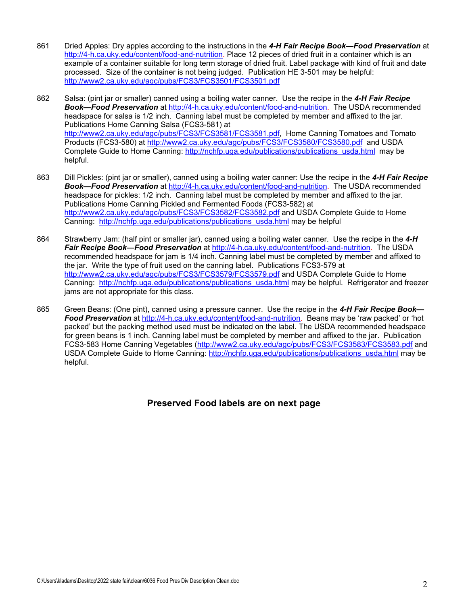- 861 Dried Apples: Dry apples according to the instructions in the *4-H Fair Recipe Book—Food Preservation* at [http://4-h.ca.uky.edu/content/food-and-nutrition.](http://4-h.ca.uky.edu/content/food-and-nutrition) Place 12 pieces of dried fruit in a container which is an example of a container suitable for long term storage of dried fruit. Label package with kind of fruit and date processed. Size of the container is not being judged. Publication HE 3-501 may be helpful: <http://www2.ca.uky.edu/agc/pubs/FCS3/FCS3501/FCS3501.pdf>
- 862 Salsa: (pint jar or smaller) canned using a boiling water canner. Use the recipe in the *4-H Fair Recipe Book—Food Preservation* at [http://4-h.ca.uky.edu/content/food-and-nutrition.](http://4-h.ca.uky.edu/content/food-and-nutrition) The USDA recommended headspace for salsa is 1/2 inch. Canning label must be completed by member and affixed to the jar. Publications Home Canning Salsa (FCS3-581) at [http://www2.ca.uky.edu/agc/pubs/FCS3/FCS3581/FCS3581.pdf,](http://www2.ca.uky.edu/agc/pubs/FCS3/FCS3581/FCS3581.pdf) Home Canning Tomatoes and Tomato Products (FCS3-580) at<http://www2.ca.uky.edu/agc/pubs/FCS3/FCS3580/FCS3580.pdf>and USDA Complete Guide to Home Canning: [http://nchfp.uga.edu/publications/publications\\_usda.html](http://nchfp.uga.edu/publications/publications_usda.html) may be helpful.
- 863 Dill Pickles: (pint jar or smaller), canned using a boiling water canner: Use the recipe in the *4-H Fair Recipe Book—Food Preservation* at [http://4-h.ca.uky.edu/content/food-and-nutrition.](http://4-h.ca.uky.edu/content/food-and-nutrition) The USDA recommended headspace for pickles: 1/2 inch. Canning label must be completed by member and affixed to the jar. Publications Home Canning Pickled and Fermented Foods (FCS3-582) at <http://www2.ca.uky.edu/agc/pubs/FCS3/FCS3582/FCS3582.pdf> and USDA Complete Guide to Home Canning: [http://nchfp.uga.edu/publications/publications\\_usda.html](http://nchfp.uga.edu/publications/publications_usda.html) may be helpful
- 864 Strawberry Jam: (half pint or smaller jar), canned using a boiling water canner. Use the recipe in the *4-H Fair Recipe Book—Food Preservation* at [http://4-h.ca.uky.edu/content/food-and-nutrition.](http://4-h.ca.uky.edu/content/food-and-nutrition) The USDA recommended headspace for jam is 1/4 inch. Canning label must be completed by member and affixed to the jar. Write the type of fruit used on the canning label. Publications FCS3-579 at <http://www2.ca.uky.edu/agc/pubs/FCS3/FCS3579/FCS3579.pdf> and USDA Complete Guide to Home Canning: [http://nchfp.uga.edu/publications/publications\\_usda.html](http://nchfp.uga.edu/publications/publications_usda.html) may be helpful. Refrigerator and freezer jams are not appropriate for this class.
- 865 Green Beans: (One pint), canned using a pressure canner. Use the recipe in the *4-H Fair Recipe Book— Food Preservation* at [http://4-h.ca.uky.edu/content/food-and-nutrition.](http://4-h.ca.uky.edu/content/food-and-nutrition) Beans may be 'raw packed' or 'hot packed' but the packing method used must be indicated on the label. The USDA recommended headspace for green beans is 1 inch. Canning label must be completed by member and affixed to the jar. Publication FCS3-583 Home Canning Vegetables [\(http://www2.ca.uky.edu/agc/pubs/FCS3/FCS3583/FCS3583.pdf](http://www2.ca.uky.edu/agc/pubs/FCS3/FCS3583/FCS3583.pdf) and USDA Complete Guide to Home Canning: [http://nchfp.uga.edu/publications/publications\\_usda.html](http://nchfp.uga.edu/publications/publications_usda.html) may be helpful.

## **Preserved Food labels are on next page**